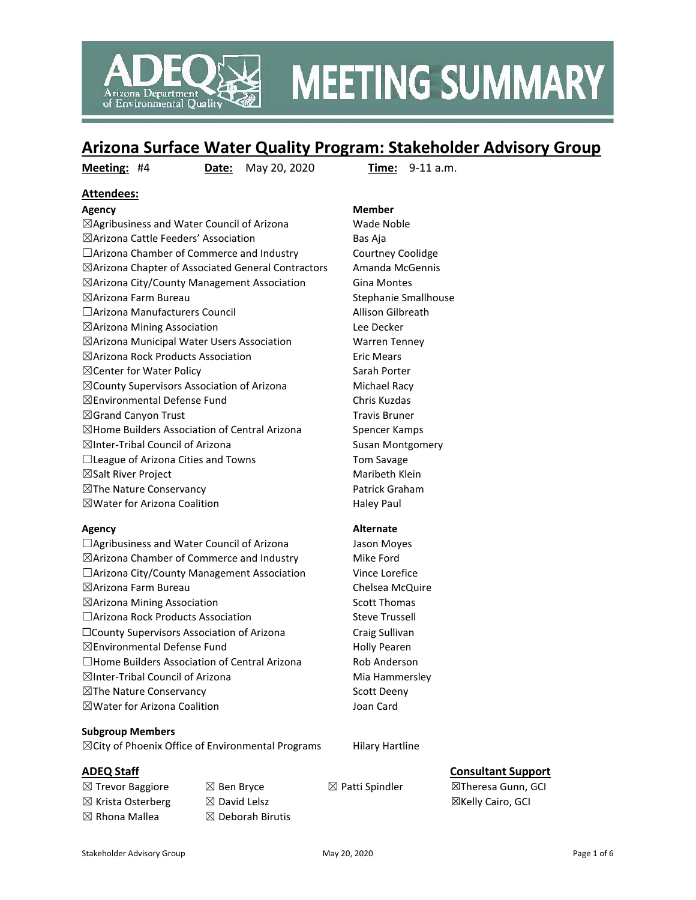

## **MEETING SUMMARY**

### **Arizona Surface Water Quality Program: Stakeholder Advisory Group**

**Meeting:** #4 **Date:** May 20, 2020 **Time:** 9-11 a.m.

#### **Attendees:**

**Agency Member** ☒Agribusiness and Water Council of Arizona Wade Noble ☒Arizona Cattle Feeders' Association Bas Aja □Arizona Chamber of Commerce and Industry Courtney Coolidge ☒Arizona Chapter of Associated General Contractors Amanda McGennis  $\boxtimes$ Arizona City/County Management Association Gina Montes  $\boxtimes$ Arizona Farm Bureau  $\boxtimes$  Stephanie Smallhouse □Arizona Manufacturers Council Allison Gilbreath ☒Arizona Mining Association Lee Decker ☒Arizona Municipal Water Users Association Warren Tenney  $\boxtimes$ Arizona Rock Products Association Eric Mears ☒Center for Water Policy Sarah Porter ☒County Supervisors Association of Arizona Michael Racy ☒Environmental Defense Fund Chris Kuzdas ☒Grand Canyon Trust Travis Bruner ☒Home Builders Association of Central Arizona Spencer Kamps ⊠Inter-Tribal Council of Arizona Susan Montgomery □League of Arizona Cities and Towns Tom Savage ☒Salt River Project Maribeth Klein ☒The Nature Conservancy Patrick Graham  $\boxtimes$  Water for Arizona Coalition  $\Box$  Haley Paul

#### **Agency Alternate**

□Agribusiness and Water Council of Arizona Jason Moyes  $\boxtimes$ Arizona Chamber of Commerce and Industry Mike Ford □Arizona City/County Management Association Vince Lorefice ☒Arizona Farm Bureau Chelsea McQuire  $\boxtimes$ Arizona Mining Association Scott Thomas □Arizona Rock Products Association Steve Trussell ☐County Supervisors Association of Arizona Craig Sullivan  $\boxtimes$ Environmental Defense Fund Holly Pearen □Home Builders Association of Central Arizona Rob Anderson  $\boxtimes$ Inter-Tribal Council of Arizona Mia Hammersley ⊠The Nature Conservancy Scott Deeny ☒Water for Arizona Coalition Joan Card

#### **Subgroup Members**

 $\boxtimes$ City of Phoenix Office of Environmental Programs Hilary Hartline

 $\boxtimes$  Krista Osterberg  $\boxtimes$  David Lelsz  $\boxtimes$  Rhona Mallea  $\boxtimes$  Deborah Birutis

 $\boxtimes$  Trevor Baggiore  $\boxtimes$  Ben Bryce  $\boxtimes$  Patti Spindler

### **ADEQ Staff Consultant Support**

☒Theresa Gunn, GCI ☒Kelly Cairo, GCI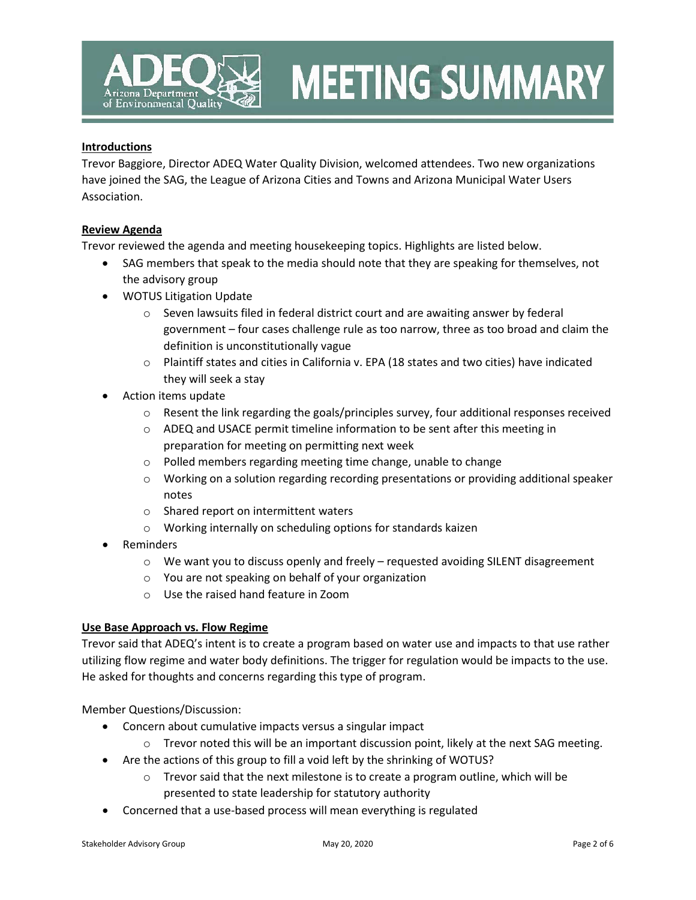

# **MEETING SUMMARY**

#### **Introductions**

Trevor Baggiore, Director ADEQ Water Quality Division, welcomed attendees. Two new organizations have joined the SAG, the League of Arizona Cities and Towns and Arizona Municipal Water Users Association.

#### **Review Agenda**

Trevor reviewed the agenda and meeting housekeeping topics. Highlights are listed below.

- SAG members that speak to the media should note that they are speaking for themselves, not the advisory group
- WOTUS Litigation Update
	- o Seven lawsuits filed in federal district court and are awaiting answer by federal government – four cases challenge rule as too narrow, three as too broad and claim the definition is unconstitutionally vague
	- $\circ$  Plaintiff states and cities in California v. EPA (18 states and two cities) have indicated they will seek a stay
- Action items update
	- o Resent the link regarding the goals/principles survey, four additional responses received
	- o ADEQ and USACE permit timeline information to be sent after this meeting in preparation for meeting on permitting next week
	- o Polled members regarding meeting time change, unable to change
	- o Working on a solution regarding recording presentations or providing additional speaker notes
	- o Shared report on intermittent waters
	- o Working internally on scheduling options for standards kaizen
- Reminders
	- $\circ$  We want you to discuss openly and freely requested avoiding SILENT disagreement
	- o You are not speaking on behalf of your organization
	- o Use the raised hand feature in Zoom

#### **Use Base Approach vs. Flow Regime**

Trevor said that ADEQ's intent is to create a program based on water use and impacts to that use rather utilizing flow regime and water body definitions. The trigger for regulation would be impacts to the use. He asked for thoughts and concerns regarding this type of program.

Member Questions/Discussion:

- Concern about cumulative impacts versus a singular impact
	- $\circ$  Trevor noted this will be an important discussion point, likely at the next SAG meeting.
- Are the actions of this group to fill a void left by the shrinking of WOTUS?
	- $\circ$  Trevor said that the next milestone is to create a program outline, which will be presented to state leadership for statutory authority
- Concerned that a use-based process will mean everything is regulated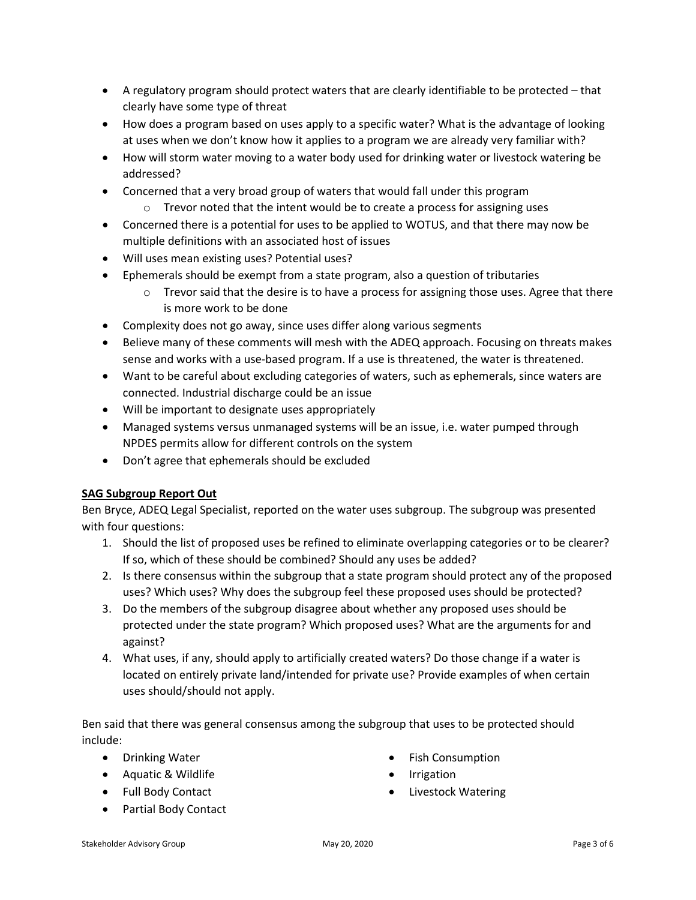- A regulatory program should protect waters that are clearly identifiable to be protected that clearly have some type of threat
- How does a program based on uses apply to a specific water? What is the advantage of looking at uses when we don't know how it applies to a program we are already very familiar with?
- How will storm water moving to a water body used for drinking water or livestock watering be addressed?
- Concerned that a very broad group of waters that would fall under this program
	- $\circ$  Trevor noted that the intent would be to create a process for assigning uses
- Concerned there is a potential for uses to be applied to WOTUS, and that there may now be multiple definitions with an associated host of issues
- Will uses mean existing uses? Potential uses?
- Ephemerals should be exempt from a state program, also a question of tributaries
	- $\circ$  Trevor said that the desire is to have a process for assigning those uses. Agree that there is more work to be done
- Complexity does not go away, since uses differ along various segments
- Believe many of these comments will mesh with the ADEQ approach. Focusing on threats makes sense and works with a use-based program. If a use is threatened, the water is threatened.
- Want to be careful about excluding categories of waters, such as ephemerals, since waters are connected. Industrial discharge could be an issue
- Will be important to designate uses appropriately
- Managed systems versus unmanaged systems will be an issue, i.e. water pumped through NPDES permits allow for different controls on the system
- Don't agree that ephemerals should be excluded

### **SAG Subgroup Report Out**

Ben Bryce, ADEQ Legal Specialist, reported on the water uses subgroup. The subgroup was presented with four questions:

- 1. Should the list of proposed uses be refined to eliminate overlapping categories or to be clearer? If so, which of these should be combined? Should any uses be added?
- 2. Is there consensus within the subgroup that a state program should protect any of the proposed uses? Which uses? Why does the subgroup feel these proposed uses should be protected?
- 3. Do the members of the subgroup disagree about whether any proposed uses should be protected under the state program? Which proposed uses? What are the arguments for and against?
- 4. What uses, if any, should apply to artificially created waters? Do those change if a water is located on entirely private land/intended for private use? Provide examples of when certain uses should/should not apply.

Ben said that there was general consensus among the subgroup that uses to be protected should include:

- Drinking Water
- Aquatic & Wildlife
- Full Body Contact
- Partial Body Contact
- Fish Consumption
- **Irrigation**
- Livestock Watering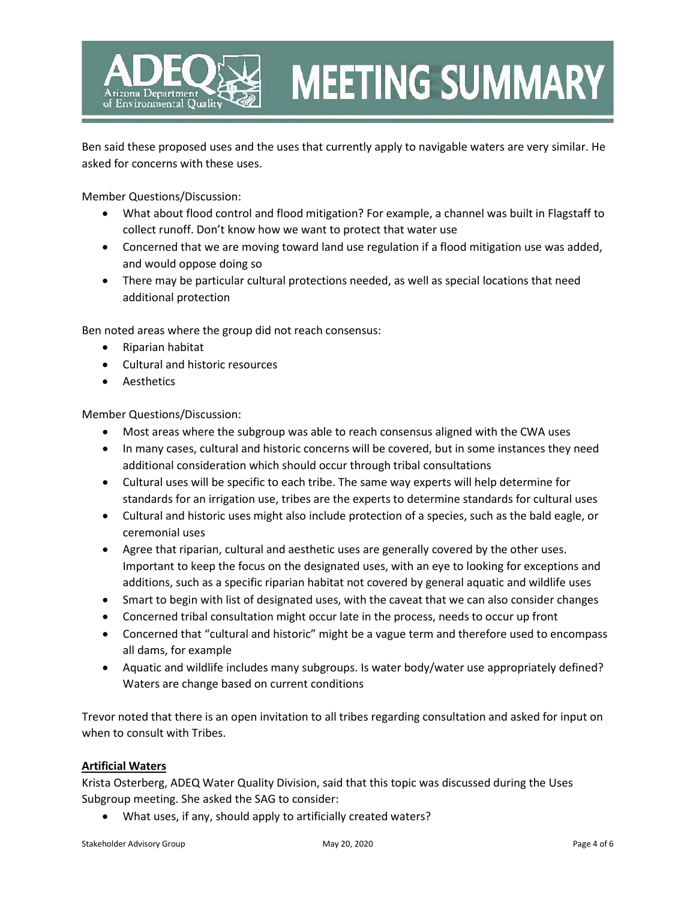

# **MEETING SUMMARY**

Ben said these proposed uses and the uses that currently apply to navigable waters are very similar. He asked for concerns with these uses.

Member Questions/Discussion:

- What about flood control and flood mitigation? For example, a channel was built in Flagstaff to collect runoff. Don't know how we want to protect that water use
- Concerned that we are moving toward land use regulation if a flood mitigation use was added, and would oppose doing so
- There may be particular cultural protections needed, as well as special locations that need additional protection

Ben noted areas where the group did not reach consensus:

- Riparian habitat
- Cultural and historic resources
- Aesthetics

Member Questions/Discussion:

- Most areas where the subgroup was able to reach consensus aligned with the CWA uses
- In many cases, cultural and historic concerns will be covered, but in some instances they need additional consideration which should occur through tribal consultations
- Cultural uses will be specific to each tribe. The same way experts will help determine for standards for an irrigation use, tribes are the experts to determine standards for cultural uses
- Cultural and historic uses might also include protection of a species, such as the bald eagle, or ceremonial uses
- Agree that riparian, cultural and aesthetic uses are generally covered by the other uses. Important to keep the focus on the designated uses, with an eye to looking for exceptions and additions, such as a specific riparian habitat not covered by general aquatic and wildlife uses
- Smart to begin with list of designated uses, with the caveat that we can also consider changes
- Concerned tribal consultation might occur late in the process, needs to occur up front
- Concerned that "cultural and historic" might be a vague term and therefore used to encompass all dams, for example
- Aquatic and wildlife includes many subgroups. Is water body/water use appropriately defined? Waters are change based on current conditions

Trevor noted that there is an open invitation to all tribes regarding consultation and asked for input on when to consult with Tribes.

#### **Artificial Waters**

Krista Osterberg, ADEQ Water Quality Division, said that this topic was discussed during the Uses Subgroup meeting. She asked the SAG to consider:

• What uses, if any, should apply to artificially created waters?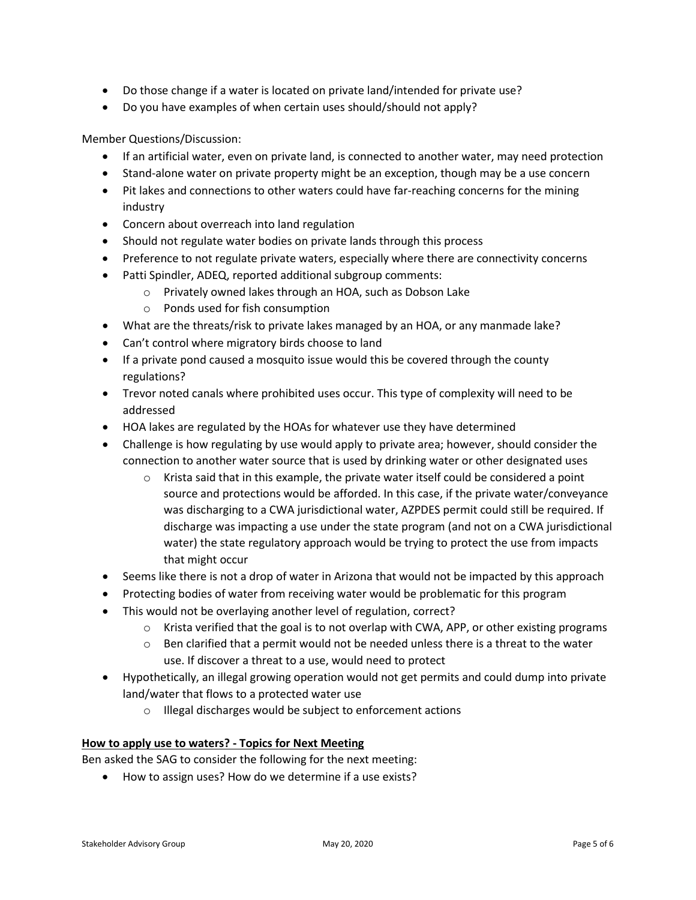- Do those change if a water is located on private land/intended for private use?
- Do you have examples of when certain uses should/should not apply?

Member Questions/Discussion:

- If an artificial water, even on private land, is connected to another water, may need protection
- Stand-alone water on private property might be an exception, though may be a use concern
- Pit lakes and connections to other waters could have far-reaching concerns for the mining industry
- Concern about overreach into land regulation
- Should not regulate water bodies on private lands through this process
- Preference to not regulate private waters, especially where there are connectivity concerns
- Patti Spindler, ADEQ, reported additional subgroup comments:
	- o Privately owned lakes through an HOA, such as Dobson Lake
	- o Ponds used for fish consumption
- What are the threats/risk to private lakes managed by an HOA, or any manmade lake?
- Can't control where migratory birds choose to land
- If a private pond caused a mosquito issue would this be covered through the county regulations?
- Trevor noted canals where prohibited uses occur. This type of complexity will need to be addressed
- HOA lakes are regulated by the HOAs for whatever use they have determined
- Challenge is how regulating by use would apply to private area; however, should consider the connection to another water source that is used by drinking water or other designated uses
	- $\circ$  Krista said that in this example, the private water itself could be considered a point source and protections would be afforded. In this case, if the private water/conveyance was discharging to a CWA jurisdictional water, AZPDES permit could still be required. If discharge was impacting a use under the state program (and not on a CWA jurisdictional water) the state regulatory approach would be trying to protect the use from impacts that might occur
- Seems like there is not a drop of water in Arizona that would not be impacted by this approach
- Protecting bodies of water from receiving water would be problematic for this program
- This would not be overlaying another level of regulation, correct?
	- $\circ$  Krista verified that the goal is to not overlap with CWA, APP, or other existing programs
	- $\circ$  Ben clarified that a permit would not be needed unless there is a threat to the water use. If discover a threat to a use, would need to protect
- Hypothetically, an illegal growing operation would not get permits and could dump into private land/water that flows to a protected water use
	- o Illegal discharges would be subject to enforcement actions

#### **How to apply use to waters? - Topics for Next Meeting**

Ben asked the SAG to consider the following for the next meeting:

• How to assign uses? How do we determine if a use exists?